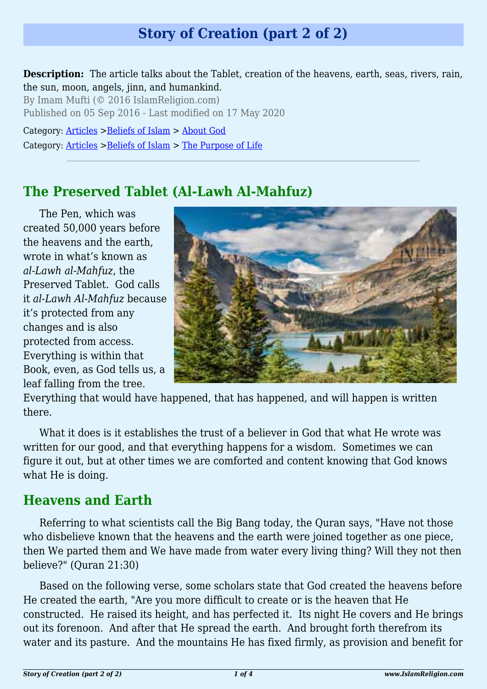# **Story of Creation (part 2 of 2)**

**Description:** The article talks about the Tablet, creation of the heavens, earth, seas, rivers, rain, the sun, moon, angels, jinn, and humankind.

By Imam Mufti (© 2016 IslamReligion.com) Published on 05 Sep 2016 - Last modified on 17 May 2020

Category: [Articles](http://www.islamreligion.com/articles/) >[Beliefs of Islam](http://www.islamreligion.com/category/48/) > [About God](http://www.islamreligion.com/category/51/) Category: [Articles](http://www.islamreligion.com/articles/) >[Beliefs of Islam](http://www.islamreligion.com/category/48/) > [The Purpose of Life](http://www.islamreligion.com/category/52/)

# **The Preserved Tablet (Al-Lawh Al-Mahfuz)**

The Pen, which was created 50,000 years before the heavens and the earth, wrote in what's known as *al-Lawh al-Mahfuz*, the Preserved Tablet. God calls it *al-Lawh Al-Mahfuz* because it's protected from any changes and is also protected from access. Everything is within that Book, even, as God tells us, a leaf falling from the tree.



Everything that would have happened, that has happened, and will happen is written there.

What it does is it establishes the trust of a believer in God that what He wrote was written for our good, and that everything happens for a wisdom. Sometimes we can figure it out, but at other times we are comforted and content knowing that God knows what He is doing.

# **Heavens and Earth**

Referring to what scientists call the Big Bang today, the Quran says, "Have not those who disbelieve known that the heavens and the earth were joined together as one piece, then We parted them and We have made from water every living thing? Will they not then believe?" (Quran 21:30)

Based on the following verse, some scholars state that God created the heavens before He created the earth, "Are you more difficult to create or is the heaven that He constructed. He raised its height, and has perfected it. Its night He covers and He brings out its forenoon. And after that He spread the earth. And brought forth therefrom its water and its pasture. And the mountains He has fixed firmly, as provision and benefit for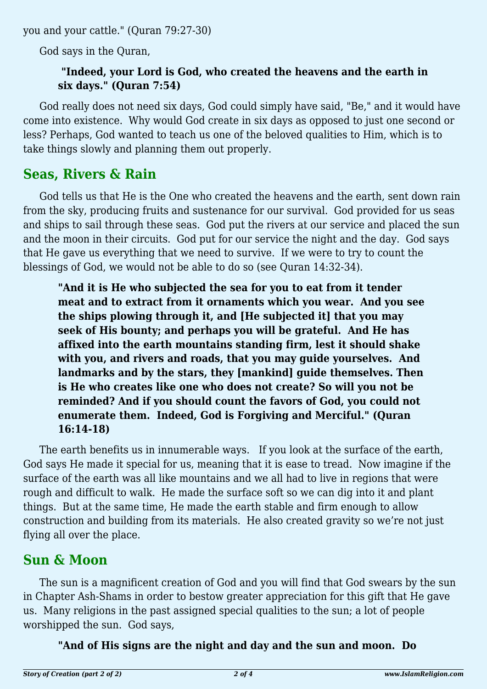you and your cattle." (Quran 79:27-30)

God says in the Quran,

#### **"Indeed, your Lord is God, who created the heavens and the earth in six days." (Quran 7:54)**

God really does not need six days, God could simply have said, "Be," and it would have come into existence. Why would God create in six days as opposed to just one second or less? Perhaps, God wanted to teach us one of the beloved qualities to Him, which is to take things slowly and planning them out properly.

## **Seas, Rivers & Rain**

God tells us that He is the One who created the heavens and the earth, sent down rain from the sky, producing fruits and sustenance for our survival. God provided for us seas and ships to sail through these seas. God put the rivers at our service and placed the sun and the moon in their circuits. God put for our service the night and the day. God says that He gave us everything that we need to survive. If we were to try to count the blessings of God, we would not be able to do so (see Quran 14:32-34).

**"And it is He who subjected the sea for you to eat from it tender meat and to extract from it ornaments which you wear. And you see the ships plowing through it, and [He subjected it] that you may seek of His bounty; and perhaps you will be grateful. And He has affixed into the earth mountains standing firm, lest it should shake with you, and rivers and roads, that you may guide yourselves. And landmarks and by the stars, they [mankind] guide themselves. Then is He who creates like one who does not create? So will you not be reminded? And if you should count the favors of God, you could not enumerate them. Indeed, God is Forgiving and Merciful." (Quran 16:14-18)**

The earth benefits us in innumerable ways. If you look at the surface of the earth, God says He made it special for us, meaning that it is ease to tread. Now imagine if the surface of the earth was all like mountains and we all had to live in regions that were rough and difficult to walk. He made the surface soft so we can dig into it and plant things. But at the same time, He made the earth stable and firm enough to allow construction and building from its materials. He also created gravity so we're not just flying all over the place.

## **Sun & Moon**

The sun is a magnificent creation of God and you will find that God swears by the sun in Chapter Ash-Shams in order to bestow greater appreciation for this gift that He gave us. Many religions in the past assigned special qualities to the sun; a lot of people worshipped the sun. God says,

**"And of His signs are the night and day and the sun and moon. Do**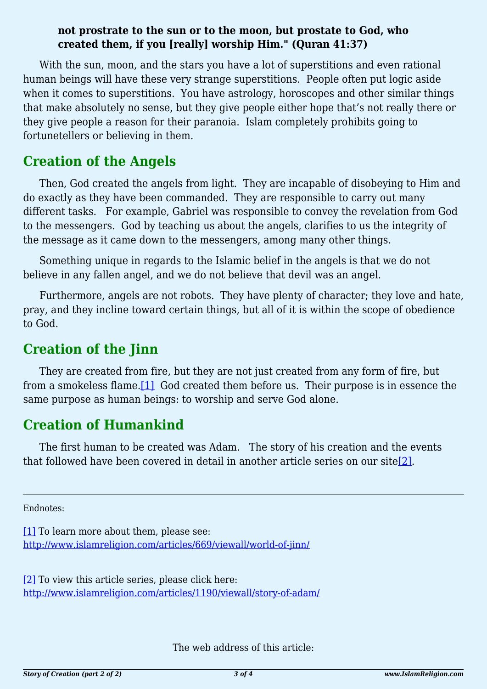#### **not prostrate to the sun or to the moon, but prostate to God, who created them, if you [really] worship Him." (Quran 41:37)**

With the sun, moon, and the stars you have a lot of superstitions and even rational human beings will have these very strange superstitions. People often put logic aside when it comes to superstitions. You have astrology, horoscopes and other similar things that make absolutely no sense, but they give people either hope that's not really there or they give people a reason for their paranoia. Islam completely prohibits going to fortunetellers or believing in them.

## **Creation of the Angels**

Then, God created the angels from light. They are incapable of disobeying to Him and do exactly as they have been commanded. They are responsible to carry out many different tasks. For example, Gabriel was responsible to convey the revelation from God to the messengers. God by teaching us about the angels, clarifies to us the integrity of the message as it came down to the messengers, among many other things.

Something unique in regards to the Islamic belief in the angels is that we do not believe in any fallen angel, and we do not believe that devil was an angel.

Furthermore, angels are not robots. They have plenty of character; they love and hate, pray, and they incline toward certain things, but all of it is within the scope of obedience to God.

# **Creation of the Jinn**

<span id="page-2-2"></span>They are created from fire, but they are not just created from any form of fire, but from a smokeless flame[.\[1\]](#page-2-0) God created them before us. Their purpose is in essence the same purpose as human beings: to worship and serve God alone.

## **Creation of Humankind**

<span id="page-2-3"></span>The first human to be created was Adam. The story of his creation and the events that followed have been covered in detail in another article series on our site[\[2\]](#page-2-1).

<span id="page-2-0"></span>Endnotes:

[\[1\]](#page-2-2) To learn more about them, please see: <http://www.islamreligion.com/articles/669/viewall/world-of-jinn/>

<span id="page-2-1"></span>[\[2\]](#page-2-3) To view this article series, please click here: <http://www.islamreligion.com/articles/1190/viewall/story-of-adam/>

The web address of this article: